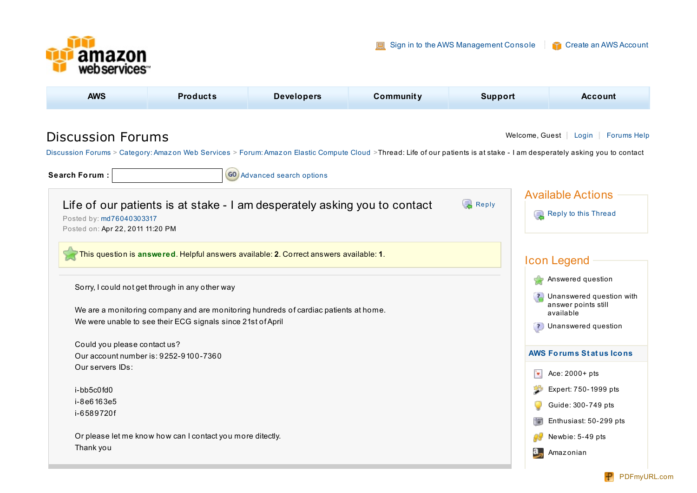

**[AWS](http://aws.amazon.com/about-aws/) [Products](http://aws.amazon.com/products/) [Developers](http://aws.amazon.com/resources/) [Community](http://aws.amazon.com/resources/) [Support](http://aws.amazon.com/support) [Account](http://aws.amazon.com/account/)** Discussion Forums Welcome, Guest | [Login](https://forums.aws.amazon.com/login.jspa;jsessionid=F0937BA0F8F9AE57B6409C4C7FE065F5) | [Forums](https://forums.aws.amazon.com/help.jspa;jsessionid=F0937BA0F8F9AE57B6409C4C7FE065F5) Help [Discussion](https://forums.aws.amazon.com/index.jspa;jsessionid=F0937BA0F8F9AE57B6409C4C7FE065F5?categoryID=1) Forums > [Category:](https://forums.aws.amazon.com/category.jspa;jsessionid=F0937BA0F8F9AE57B6409C4C7FE065F5?categoryID=3) Amazon Web Services > Forum: Amazon Elastic [Compute](https://forums.aws.amazon.com/forum.jspa;jsessionid=F0937BA0F8F9AE57B6409C4C7FE065F5?forumID=30&start=0) Cloud >Thread: Life of our patients is at stake - I am desperately asking you to contact **Search Forum :**  $\begin{bmatrix} 60 \\ 40 \end{bmatrix}$  [Advanced](https://forums.aws.amazon.com/search!default.jspa?objID=f30) search options Available Actions Life of our patients is at stake - I am desperately asking you to contact [Re](https://forums.aws.amazon.com/post!reply.jspa?messageID=241203)ply Reply to this [Thread](https://forums.aws.amazon.com/post!reply.jspa?threadID=65649) Posted by: [md76040303317](https://forums.aws.amazon.com/profile.jspa?userID=169894) Posted on: Apr 22, 2011 11:20 PM This question is **answered**. Helpful answers available: **2**. Correct answers available: **1**. Icon Legend **Answered question** Sorry, I could not get through in any other way Unanswered question with  $\overline{2}$ answer points still We are a monitoring company and are monitoring hundreds of cardiac patients at home. available We were unable to see their ECG signals since 21st ofApril **P** Unanswered question Could you please contact us? **AWS [Forums](https://forums.aws.amazon.com/recognition.jsp) St at us Icons** Our account number is: 9252-9100-7360 Our servers IDs: ٠, Ace: 2000+ pts

i-bb5c0fd0 i-8e6163e5 i-6589720f

Or please let me know how can I contact you more ditectly. Thank you

Expert: 750-1999 pts Guide: 300-749 pts Enthusiast: 50-299 pts

Newbie: 5-49 pts

Amaz onian

Ç **IST** 

a,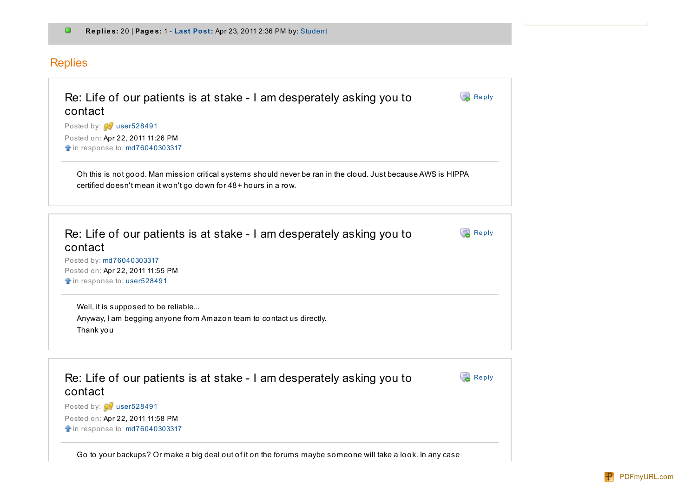## Replies

| contact<br>Posted by: user528491 |                                                                                                                                                                                  |       |
|----------------------------------|----------------------------------------------------------------------------------------------------------------------------------------------------------------------------------|-------|
| Posted on: Apr 22, 2011 11:26 PM |                                                                                                                                                                                  |       |
| in response to: md76040303317    |                                                                                                                                                                                  |       |
|                                  | Oh this is not good. Man mission critical systems should never be ran in the cloud. Just because AWS is HIPPA<br>certified doesn't mean it won't go down for 48+ hours in a row. |       |
|                                  |                                                                                                                                                                                  |       |
| contact                          | Re: Life of our patients is at stake - I am desperately asking you to                                                                                                            | Reply |
| Posted by: md76040303317         |                                                                                                                                                                                  |       |
| Posted on: Apr 22, 2011 11:55 PM |                                                                                                                                                                                  |       |
| in response to: user528491       |                                                                                                                                                                                  |       |

| Re: Life of our patients is at stake - I am desperately asking you to<br>contact | <b>Reply</b> |
|----------------------------------------------------------------------------------|--------------|
| Posted by: <b>W</b> user528491                                                   |              |
| Posted on: Apr 22, 2011 11:58 PM                                                 |              |
| <b>f</b> in response to: md76040303317                                           |              |
|                                                                                  |              |

Go to your backups? Or make a big deal out of it on the forums maybe someone will take a look. In any case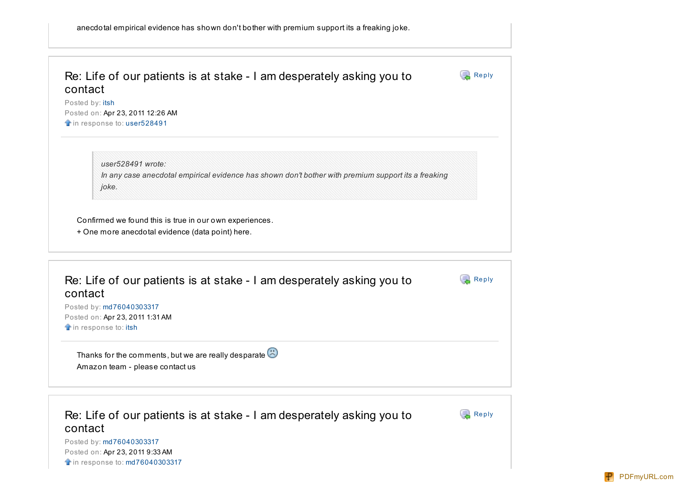| contact<br>Posted by: itsh<br>Posted on: Apr 23, 2011 12:26 AM<br>in response to: user528491                                      |       |
|-----------------------------------------------------------------------------------------------------------------------------------|-------|
| user528491 wrote:<br>In any case anecdotal empirical evidence has shown don't bother with premium support its a freaking<br>joke. |       |
|                                                                                                                                   |       |
| Confirmed we found this is true in our own experiences.<br>+ One more anecdotal evidence (data point) here.                       |       |
| Re: Life of our patients is at stake - I am desperately asking you to<br>contact                                                  | Reply |
| Posted by: md76040303317                                                                                                          |       |
| Posted on: Apr 23, 2011 1:31 AM<br>in response to: itsh                                                                           |       |
| Thanks for the comments, but we are really desparate $\ddot{\odot}$                                                               |       |

Re: Life of our patients is at stake - I am desperately asking you to contact

[Re](https://forums.aws.amazon.com/post!reply.jspa?messageID=241352)ply

Posted by: [md76040303317](https://forums.aws.amazon.com/profile.jspa?userID=169894) Posted on: Apr 23, 2011 9:33 AM **in response to: [md76040303317](https://forums.aws.amazon.com/message.jspa?messageID=241218#241218)**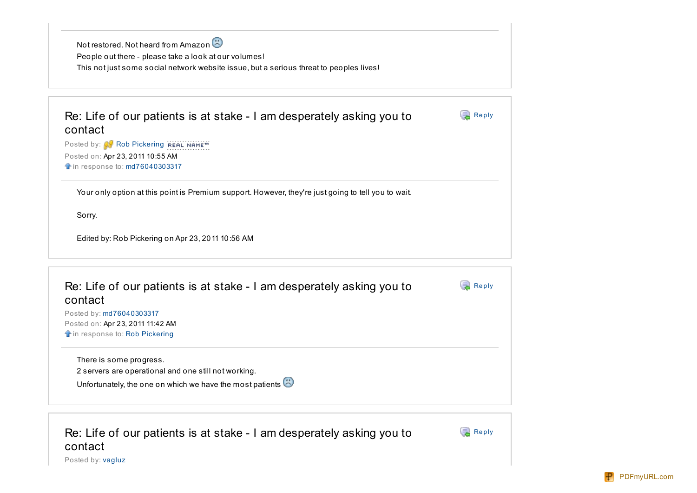| Not restored. Not heard from Amazon                                                     |
|-----------------------------------------------------------------------------------------|
| People out there - please take a look at our volumes!                                   |
| This not just some social network website issue, but a serious threat to peoples lives! |
|                                                                                         |

| Re: Life of our patients is at stake - I am desperately asking you to | <b>Reply</b> |
|-----------------------------------------------------------------------|--------------|
| contact                                                               |              |
| Posted by: <b>Rob Pickering REAL NAME</b> <sup>18</sup>               |              |

Posted on: Apr 23, 2011 10:55 AM **in response to: [md76040303317](https://forums.aws.amazon.com/message.jspa?messageID=241352#241352)** 

Your only option at this point is Premium support. However, they're just going to tell you to wait.

Sorry.

Edited by: Rob Pickering on Apr 23, 2011 10:56 AM

| Re: Life of our patients is at stake - I am desperately asking you to<br>contact | Reply |
|----------------------------------------------------------------------------------|-------|
| Posted by: md76040303317                                                         |       |
| Posted on: Apr 23, 2011 11:42 AM                                                 |       |
| the in response to: Rob Pickering                                                |       |
| There is some progress.                                                          |       |
| 2 servers are operational and one still not working.                             |       |
| Unfortunately, the one on which we have the most patients                        |       |

Re: Life of our patients is at stake - I am desperately asking you to contact

**[Re](https://forums.aws.amazon.com/post!reply.jspa?messageID=241360)ply** 

Posted by: [vagluz](https://forums.aws.amazon.com/profile.jspa?userID=64407)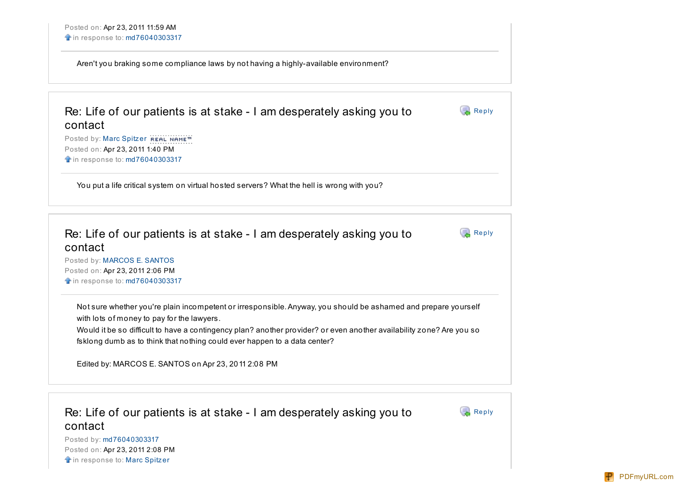Aren't you braking some compliance laws by not having a highly-available environment?

| Re: Life of our patients is at stake - I am desperately asking you to<br>contact                                | <b>Reply</b> |
|-----------------------------------------------------------------------------------------------------------------|--------------|
| Posted by: Marc Spitzer REAL NAME™<br>Posted on: Apr 23, 2011 1:40 PM<br><b>f</b> in response to: md76040303317 |              |

You put a life critical system on virtual hosted servers? What the hell is wrong with you?

| Re: Life of our patients is at stake - I am desperately asking you to<br>contact                                                                                                                                                                                                                                                                                  | <b>Reply</b> |
|-------------------------------------------------------------------------------------------------------------------------------------------------------------------------------------------------------------------------------------------------------------------------------------------------------------------------------------------------------------------|--------------|
| Posted by: MARCOS E. SANTOS<br>Posted on: Apr 23, 2011 2:06 PM<br><b>f</b> in response to: md76040303317                                                                                                                                                                                                                                                          |              |
| Not sure whether you're plain incompetent or irresponsible. Anyway, you should be ashamed and prepare yourself<br>with lots of money to pay for the lawyers.<br>Would it be so difficult to have a contingency plan? another provider? or even another availability zone? Are you so<br>fsklong dumb as to think that nothing could ever happen to a data center? |              |
| Edited by: MARCOS E. SANTOS on Apr 23, 2011 2:08 PM                                                                                                                                                                                                                                                                                                               |              |
|                                                                                                                                                                                                                                                                                                                                                                   |              |

Re: Life of our patients is at stake - I am desperately asking you to contact

 $\mathbb{R}$  [Re](https://forums.aws.amazon.com/post!reply.jspa?messageID=241317)ply

Posted by: [md76040303317](https://forums.aws.amazon.com/profile.jspa?userID=169894) Posted on: Apr 23, 2011 2:08 PM **in response to: [Marc](https://forums.aws.amazon.com/message.jspa?messageID=241415#241415) Spitzer**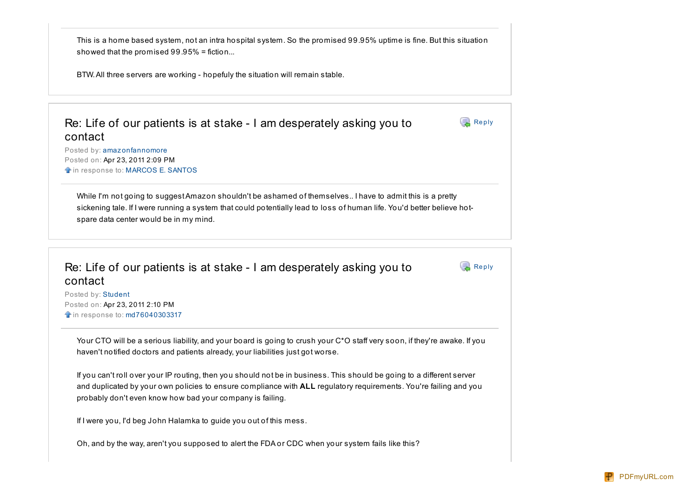This is a home based system, not an intra hospital system. So the promised 99.95% uptime is fine. But this situation showed that the promised 99.95% = fiction...

BTW.All three servers are working - hopefuly the situation will remain stable.

Re: Life of our patients is at stake - I am desperately asking you to contact

Posted by: amaz [onfannomore](https://forums.aws.amazon.com/profile.jspa?userID=169362) Posted on: Apr 23, 2011 2:09 PM  $\triangle$  in response to: [MARCOS](https://forums.aws.amazon.com/message.jspa?messageID=241376#241376) E. SANTOS

While I'm not going to suggest Amazon shouldn't be ashamed of themselves.. I have to admit this is a pretty sickening tale. If I were running a system that could potentially lead to loss of human life. You'd better believe hotspare data center would be in my mind.

Re: Life of our patients is at stake - I am desperately asking you to contact

[Re](https://forums.aws.amazon.com/post!reply.jspa?messageID=241426)ply

 $\overline{\mathbb{R}}$  [Re](https://forums.aws.amazon.com/post!reply.jspa?messageID=241409)ply

Posted by: [Student](https://forums.aws.amazon.com/profile.jspa?userID=166507) Posted on: Apr 23, 2011 2:10 PM **in response to: [md76040303317](https://forums.aws.amazon.com/message.jspa?messageID=241203#241203)** 

Your CTO will be a serious liability, and your board is going to crush your C\*O staff very soon, if they're awake. If you haven't notified doctors and patients already, your liabilities just got worse.

If you can't roll over your IP routing, then you should not be in business. This should be going to a different server and duplicated by your own policies to ensure compliance with **ALL** regulatory requirements. You're failing and you probably don't even know how bad your company is failing.

If I were you, I'd beg John Halamka to guide you out of this mess.

Oh, and by the way, aren't you supposed to alert the FDA or CDC when your system fails like this?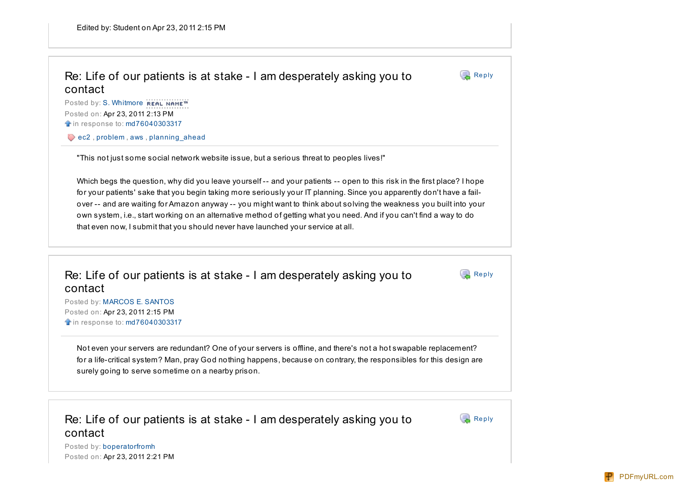## Re: Life of our patients is at stake - I am desperately asking you to contact

Posted by: S. [Whitmore](https://forums.aws.amazon.com/profile.jspa?userID=169957) REAL NAME™ Posted on: Apr 23, 2011 2:13 PM **in response to: [md76040303317](https://forums.aws.amazon.com/message.jspa?messageID=241352#241352)** 

[ec2](https://forums.aws.amazon.com/tags/ec2;jsessionid=F0937BA0F8F9AE57B6409C4C7FE065F5), [problem](https://forums.aws.amazon.com/tags/problem;jsessionid=F0937BA0F8F9AE57B6409C4C7FE065F5), [aws](https://forums.aws.amazon.com/tags/aws;jsessionid=F0937BA0F8F9AE57B6409C4C7FE065F5), planning ahead

"This not just some social network website issue, but a serious threat to peoples lives!"

Which begs the question, why did you leave yourself -- and your patients -- open to this risk in the first place? I hope for your patients' sake that you begin taking more seriously your IT planning. Since you apparently don't have a failover -- and are waiting for Amazon anyway -- you might want to think about solving the weakness you built into your own system, i.e., start working on an alternative method of getting what you need. And if you can't find a way to do that even now, I submit that you should never have launched your service at all.

Re: Life of our patients is at stake - I am desperately asking you to contact

Posted by: [MARCOS](https://forums.aws.amazon.com/profile.jspa?userID=169955) E. SANTOS Posted on: Apr 23, 2011 2:15 PM **in response to: [md76040303317](https://forums.aws.amazon.com/message.jspa?messageID=241311#241311)** 

Not even your servers are redundant? One of your servers is offline, and there's not a hot swapable replacement? for a life-critical system? Man, pray God nothing happens, because on contrary, the responsibles for this design are surely going to serve sometime on a nearby prison.

Re: Life of our patients is at stake - I am desperately asking you to contact



 $\blacksquare$  [Re](https://forums.aws.amazon.com/post!reply.jspa?messageID=241377)ply

 $\mathbb{R}$  [Re](https://forums.aws.amazon.com/post!reply.jspa?messageID=241318)ply

Posted by: [boperatorfromh](https://forums.aws.amazon.com/profile.jspa?userID=169960) Posted on: Apr 23, 2011 2:21 PM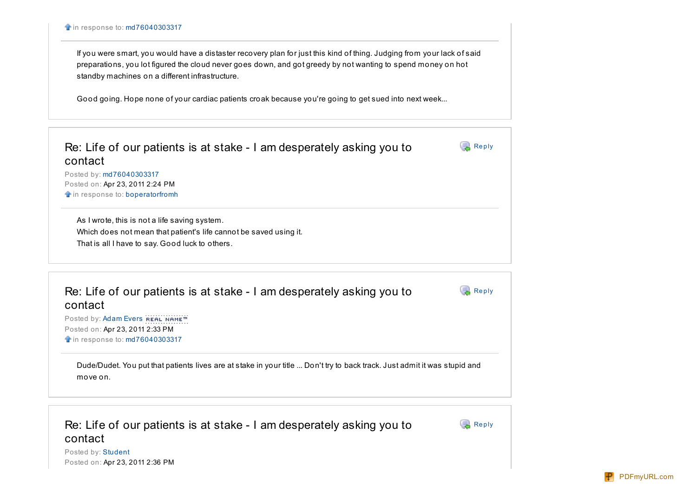If you were smart, you would have a distaster recovery plan for just this kind of thing. Judging from your lack of said preparations, you lot figured the cloud never goes down, and got greedy by not wanting to spend money on hot standby machines on a different infrastructure.

Good going. Hope none of your cardiac patients croak because you're going to get sued into next week...

| Re: Life of our patients is at stake - I am desperately asking you to<br>contact | Reply |
|----------------------------------------------------------------------------------|-------|
| Posted by: md76040303317                                                         |       |
| Posted on: Apr 23, 2011 2:24 PM                                                  |       |
| in response to: boperatorfromh                                                   |       |
| As I wrote, this is not a life saving system.                                    |       |
| Which does not mean that patient's life cannot be saved using it.                |       |
| That is all I have to say. Good luck to others.                                  |       |
|                                                                                  |       |
|                                                                                  |       |

| <b>Reply</b> |
|--------------|
|              |
|              |
|              |
|              |
|              |

Re: Life of our patients is at stake - I am desperately asking you to contact

**[Re](https://forums.aws.amazon.com/post!reply.jspa?messageID=241420)ply** 

Posted by: [Student](https://forums.aws.amazon.com/profile.jspa?userID=166507) Posted on: Apr 23, 2011 2:36 PM